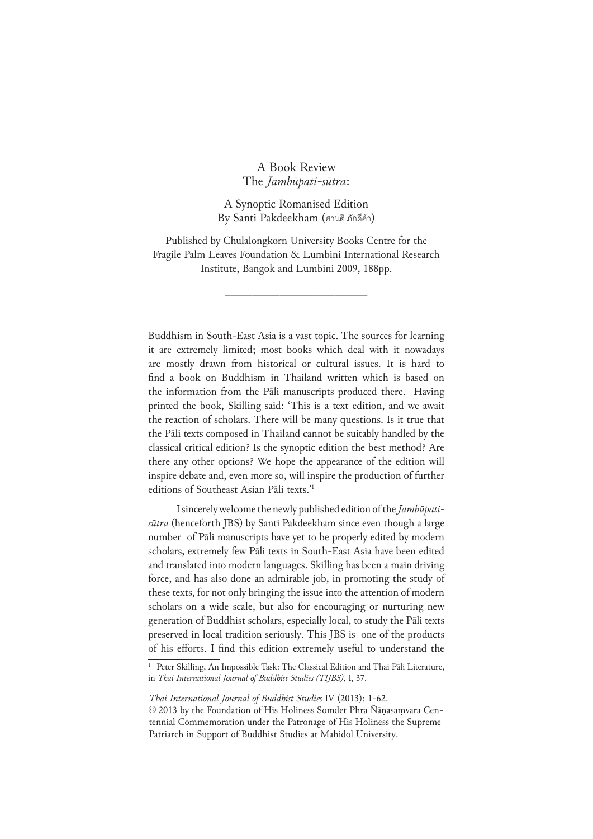## A Book Review The *Jambūpati-sūtra*:

A Synoptic Romanised Edition By Santi Pakdeekham (ศานติ ภักดีคำ )

Published by Chulalongkorn University Books Centre for the Fragile Palm Leaves Foundation & Lumbini International Research Institute, Bangok and Lumbini 2009, 188pp.

\_\_\_\_\_\_\_\_\_\_\_\_\_\_\_\_\_\_\_\_\_\_\_\_\_\_

Buddhism in South-East Asia is a vast topic. The sources for learning it are extremely limited; most books which deal with it nowadays are mostly drawn from historical or cultural issues. It is hard to find a book on Buddhism in Thailand written which is based on the information from the Pāli manuscripts produced there. Having printed the book, Skilling said: 'This is a text edition, and we await the reaction of scholars. There will be many questions. Is it true that the Pāli texts composed in Thailand cannot be suitably handled by the classical critical edition? Is the synoptic edition the best method? Are there any other options? We hope the appearance of the edition will inspire debate and, even more so, will inspire the production of further editions of Southeast Asian Pāli texts.'1

I sincerely welcome the newly published edition of the *Jambūpatisūtra* (henceforth JBS) by Santi Pakdeekham since even though a large number of Pāli manuscripts have yet to be properly edited by modern scholars, extremely few Pāli texts in South-East Asia have been edited and translated into modern languages. Skilling has been a main driving force, and has also done an admirable job, in promoting the study of these texts, for not only bringing the issue into the attention of modern scholars on a wide scale, but also for encouraging or nurturing new generation of Buddhist scholars, especially local, to study the Pāli texts preserved in local tradition seriously. This JBS is one of the products of his efforts. I find this edition extremely useful to understand the

<sup>&</sup>lt;sup>1</sup> Peter Skilling, An Impossible Task: The Classical Edition and Thai Pāli Literature, in *Thai International Journal of Buddhist Studies (TIJBS),* I, 37.

*Thai International Journal of Buddhist Studies* IV (2013): 1-62.

<sup>© 2013</sup> by the Foundation of His Holiness Somdet Phra Ñāṇasaṃvara Centennial Commemoration under the Patronage of His Holiness the Supreme Patriarch in Support of Buddhist Studies at Mahidol University.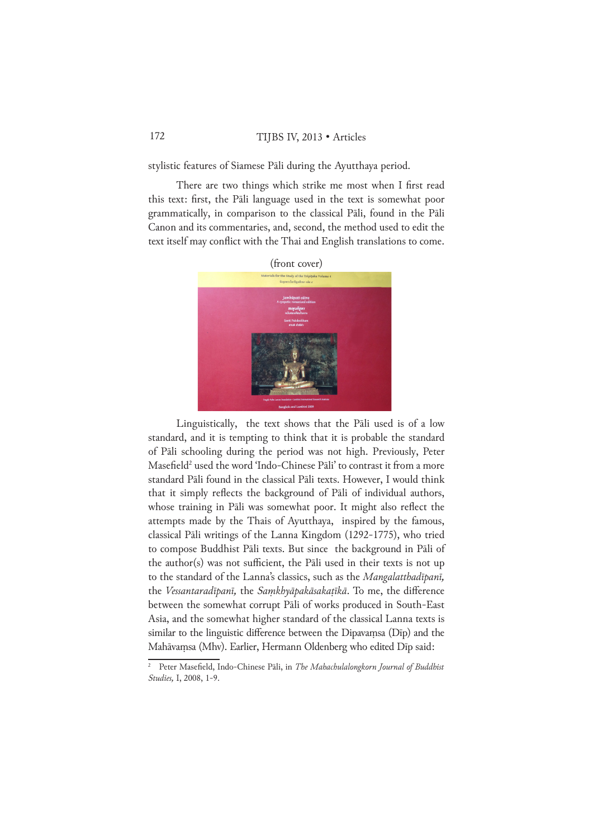stylistic features of Siamese Pāli during the Ayutthaya period.

There are two things which strike me most when I first read this text: first, the Pāli language used in the text is somewhat poor grammatically, in comparison to the classical Pāli, found in the Pāli Canon and its commentaries, and, second, the method used to edit the text itself may conflict with the Thai and English translations to come.



Linguistically, the text shows that the Pāli used is of a low standard, and it is tempting to think that it is probable the standard of Pāli schooling during the period was not high. Previously, Peter Masefield<sup>2</sup> used the word 'Indo-Chinese Pāli' to contrast it from a more standard Pāli found in the classical Pāli texts. However, I would think that it simply reflects the background of Pāli of individual authors, whose training in Pāli was somewhat poor. It might also reflect the attempts made by the Thais of Ayutthaya, inspired by the famous, classical Pāli writings of the Lanna Kingdom (1292-1775), who tried to compose Buddhist Pāli texts. But since the background in Pāli of the author(s) was not sufficient, the Pāli used in their texts is not up to the standard of the Lanna's classics, such as the *Mangalatthadīpanī,* the *Vessantaradīpanī,* the *Saṃkhyāpakāsakaṭīkā*. To me, the difference between the somewhat corrupt Pāli of works produced in South-East Asia, and the somewhat higher standard of the classical Lanna texts is similar to the linguistic difference between the Dipavaṃsa (Dīp) and the Mahāvaṃsa (Mhv). Earlier, Hermann Oldenberg who edited Dīp said:

<sup>2</sup> Peter Masefield, Indo-Chinese Pāli, in *The Mahachulalongkorn Journal of Buddhist Studies,* I, 2008, 1-9.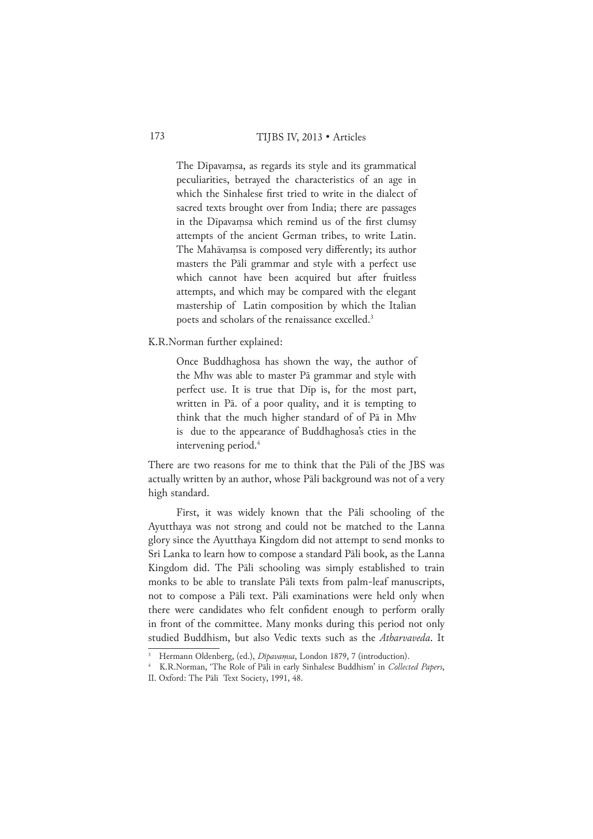The Dīpavaṃsa, as regards its style and its grammatical peculiarities, betrayed the characteristics of an age in which the Sinhalese first tried to write in the dialect of sacred texts brought over from India; there are passages in the Dīpavaṃsa which remind us of the first clumsy attempts of the ancient German tribes, to write Latin. The Mahāvaṃsa is composed very differently; its author masters the Pāli grammar and style with a perfect use which cannot have been acquired but after fruitless attempts, and which may be compared with the elegant mastership of Latin composition by which the Italian poets and scholars of the renaissance excelled.3

K.R.Norman further explained:

Once Buddhaghosa has shown the way, the author of the Mhv was able to master Pā grammar and style with perfect use. It is true that Dīp is, for the most part, written in Pā. of a poor quality, and it is tempting to think that the much higher standard of of Pā in Mhv is due to the appearance of Buddhaghosa's cties in the intervening period.<sup>4</sup>

There are two reasons for me to think that the Pāli of the JBS was actually written by an author, whose Pāli background was not of a very high standard.

First, it was widely known that the Pāli schooling of the Ayutthaya was not strong and could not be matched to the Lanna glory since the Ayutthaya Kingdom did not attempt to send monks to Sri Lanka to learn how to compose a standard Pāli book, as the Lanna Kingdom did. The Pāli schooling was simply established to train monks to be able to translate Pāli texts from palm-leaf manuscripts, not to compose a Pāli text. Pāli examinations were held only when there were candidates who felt confident enough to perform orally in front of the committee. Many monks during this period not only studied Buddhism, but also Vedic texts such as the *Atharvaveda*. It

<sup>&</sup>lt;sup>3</sup> Hermann Oldenberg, (ed.), *Dīpavaṃsa*, London 1879, 7 (introduction).

<sup>4</sup> K.R.Norman, 'The Role of Pāli in early Sinhalese Buddhism' in *Collected Papers*, II. Oxford: The Pāli Text Society, 1991, 48.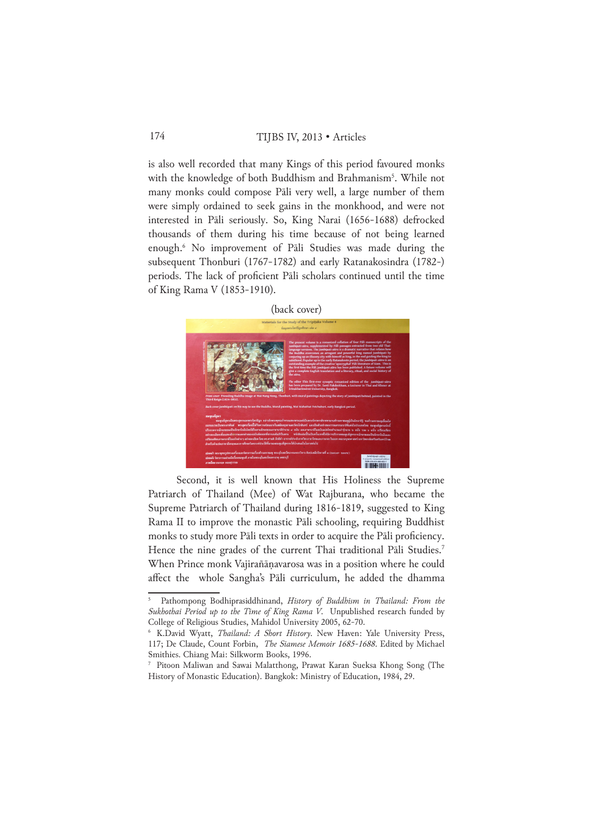is also well recorded that many Kings of this period favoured monks with the knowledge of both Buddhism and Brahmanism<sup>5</sup>. While not many monks could compose Pāli very well, a large number of them were simply ordained to seek gains in the monkhood, and were not interested in Pāli seriously. So, King Narai (1656-1688) defrocked thousands of them during his time because of not being learned enough.6 No improvement of Pāli Studies was made during the subsequent Thonburi (1767-1782) and early Ratanakosindra (1782-) periods. The lack of proficient Pāli scholars continued until the time of King Rama V (1853-1910).



Second, it is well known that His Holiness the Supreme Patriarch of Thailand (Mee) of Wat Rajburana, who became the Supreme Patriarch of Thailand during 1816-1819, suggested to King Rama II to improve the monastic Pāli schooling, requiring Buddhist monks to study more Pāli texts in order to acquire the Pāli proficiency. Hence the nine grades of the current Thai traditional Pāli Studies.<sup>7</sup> When Prince monk Vajirañāṇavarosa was in a position where he could affect the whole Sangha's Pāli curriculum, he added the dhamma

<sup>5</sup> Pathompong Bodhiprasiddhinand, *History of Buddhism in Thailand: From the Sukhothai Period up to the Time of King Rama V*. Unpublished research funded by College of Religious Studies, Mahidol University 2005, 62-70.

<sup>6</sup> K.David Wyatt, *Thailand: A Short History*. New Haven: Yale University Press, 117; De Claude, Count Forbin, *The Siamese Memoir 1685-1688*. Edited by Michael Smithies. Chiang Mai: Silkworm Books, 1996.

<sup>7</sup> Pitoon Maliwan and Sawai Malatthong, Prawat Karan Sueksa Khong Song (The History of Monastic Education). Bangkok: Ministry of Education, 1984, 29.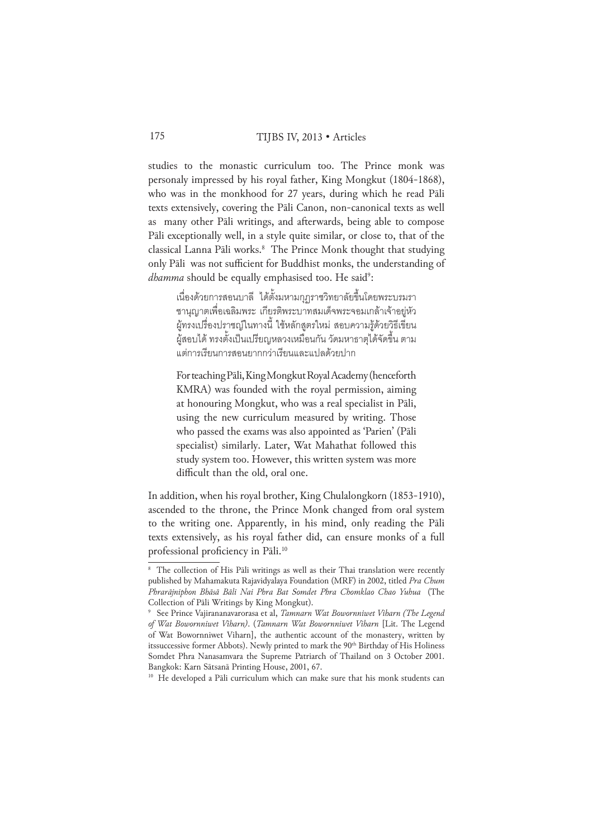studies to the monastic curriculum too. The Prince monk was personaly impressed by his royal father, King Mongkut (1804-1868), who was in the monkhood for 27 years, during which he read Pāli texts extensively, covering the Pāli Canon, non-canonical texts as well as many other Pāli writings, and afterwards, being able to compose Pāli exceptionally well, in a style quite similar, or close to, that of the classical Lanna Pāli works.8 The Prince Monk thought that studying only Pāli was not sufficient for Buddhist monks, the understanding of *dhamma* should be equally emphasised too. He said<sup>9</sup>:

เนื่องด้วยการสอนบาลี ได้ตั้งมหามกุฏราชวิทยาลัยขึ้นโดยพระบรมรา ชานุญาตเพื่อเฉลิมพระ เกียรติพระบาทสมเด็จพระจอมเกล้าเจ้าอยู่หัว ผู้ทรงเปรื่องปราชญ์ในทางนี้ ใช้หลักสูตรใหม่ สอบความรู้ด้วยวิธีเขียน ผู้สอบได้ ทรงตั้งเป็นเปรียญหลวงเหมือนกัน วัดมหาธาตุได้จัดขึ้น ตาม แต่การเรียนการสอนยากกว่าเรียนและแปลด้วยปาก

For teaching Pāli, King Mongkut Royal Academy (henceforth KMRA) was founded with the royal permission, aiming at honouring Mongkut, who was a real specialist in Pāli, using the new curriculum measured by writing. Those who passed the exams was also appointed as 'Parien' (Pāli specialist) similarly. Later, Wat Mahathat followed this study system too. However, this written system was more difficult than the old, oral one.

In addition, when his royal brother, King Chulalongkorn (1853-1910), ascended to the throne, the Prince Monk changed from oral system to the writing one. Apparently, in his mind, only reading the Pāli texts extensively, as his royal father did, can ensure monks of a full professional proficiency in Pāli.10

<sup>&</sup>lt;sup>8</sup> The collection of His Pāli writings as well as their Thai translation were recently published by Mahamakuta Rajavidyalaya Foundation (MRF) in 2002, titled *Pra Chum Phrarājniphon Bhāsā Bāli Nai Phra Bat Somdet Phra Chomklao Chao Yuhua* (The Collection of Pāli Writings by King Mongkut).

<sup>9</sup> See Prince Vajirananavarorasa et al, *Tamnarn Wat Bowornniwet Viharn (The Legend of Wat Bowornniwet Viharn)*. (*Tamnarn Wat Bowornniwet Viharn* [Lit. The Legend of Wat Bowornniwet Viharn], the authentic account of the monastery, written by itssuccessive former Abbots). Newly printed to mark the 90<sup>th</sup> Birthday of His Holiness Somdet Phra Nanasamvara the Supreme Patriarch of Thailand on 3 October 2001. Bangkok: Karn Sātsanā Printing House, 2001, 67.

<sup>&</sup>lt;sup>10</sup> He developed a Pāli curriculum which can make sure that his monk students can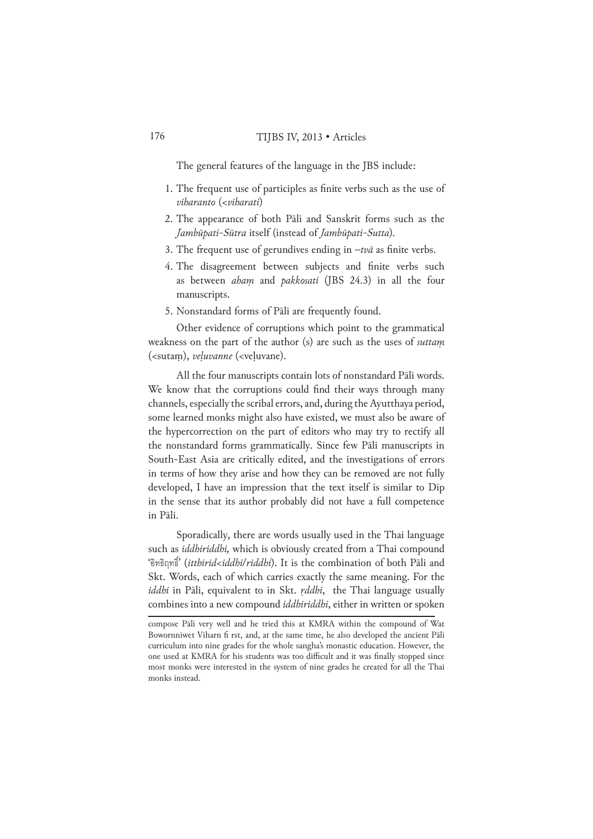The general features of the language in the JBS include:

- 1. The frequent use of participles as finite verbs such as the use of *viharanto* (<*viharati*)
- 2. The appearance of both Pāli and Sanskrit forms such as the *Jambūpati-Sūtra* itself (instead of *Jambūpati-Sutta*)*.*
- 3. The frequent use of gerundives ending in –*tvā* as finite verbs.
- 4. The disagreement between subjects and finite verbs such as between *ahaṃ* and *pakkosati* (JBS 24.3) in all the four manuscripts.
- 5. Nonstandard forms of Pāli are frequently found.

Other evidence of corruptions which point to the grammatical weakness on the part of the author (s) are such as the uses of *suttaṃ* (<sutaṃ), *veḷuvanne* (<veḷuvane).

All the four manuscripts contain lots of nonstandard Pāli words. We know that the corruptions could find their ways through many channels, especially the scribal errors, and, during the Ayutthaya period, some learned monks might also have existed, we must also be aware of the hypercorrection on the part of editors who may try to rectify all the nonstandard forms grammatically. Since few Pāli manuscripts in South-East Asia are critically edited, and the investigations of errors in terms of how they arise and how they can be removed are not fully developed, I have an impression that the text itself is similar to Dīp in the sense that its author probably did not have a full competence in Pāli.

Sporadically, there are words usually used in the Thai language such as *iddhiriddhi,* which is obviously created from a Thai compound 'อิทธิฤทธิ์' (*itthirid*<*iddhi*/*riddhi*). It is the combination of both Pāli and Skt. Words, each of which carries exactly the same meaning. For the *iddhi* in Pāli, equivalent to in Skt. *ṛddhi*, the Thai language usually combines into a new compound *iddhiriddhi*, either in written or spoken

compose Pāli very well and he tried this at KMRA within the compound of Wat Bowornniwet Viharn fi rst, and, at the same time, he also developed the ancient Pāli curriculum into nine grades for the whole sangha's monastic education. However, the one used at KMRA for his students was too difficult and it was finally stopped since most monks were interested in the system of nine grades he created for all the Thai monks instead.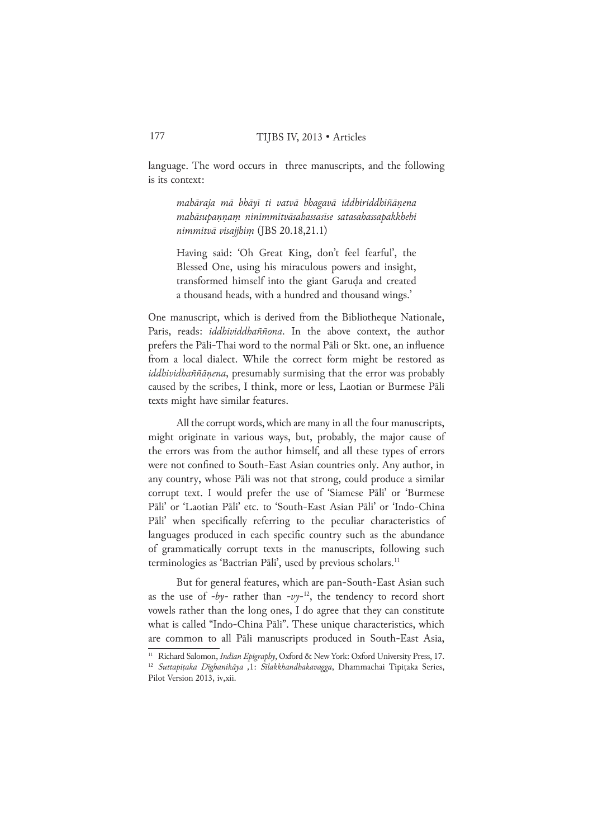language. The word occurs in three manuscripts, and the following is its context:

*mahāraja mā bhāyī ti vatvā bhagavā iddhiriddhiñāṇena mahāsupaṇṇaṃ ninimmitvāsahassasīse satasahassapakkhehi nimmitvā visajjhiṃ* (JBS 20.18,21.1)

Having said: 'Oh Great King, don't feel fearful', the Blessed One, using his miraculous powers and insight, transformed himself into the giant Garuḍa and created a thousand heads, with a hundred and thousand wings.'

One manuscript, which is derived from the Bibliotheque Nationale, Paris, reads: *iddhividdhaññona*. In the above context, the author prefers the Pāli-Thai word to the normal Pāli or Skt. one, an influence from a local dialect. While the correct form might be restored as *iddhividhaññāṇena*, presumably surmising that the error was probably caused by the scribes, I think, more or less, Laotian or Burmese Pāli texts might have similar features.

All the corrupt words, which are many in all the four manuscripts, might originate in various ways, but, probably, the major cause of the errors was from the author himself, and all these types of errors were not confined to South-East Asian countries only. Any author, in any country, whose Pāli was not that strong, could produce a similar corrupt text. I would prefer the use of 'Siamese Pāli' or 'Burmese Pāli' or 'Laotian Pāli' etc. to 'South-East Asian Pāli' or 'Indo-China Pāli' when specifically referring to the peculiar characteristics of languages produced in each specific country such as the abundance of grammatically corrupt texts in the manuscripts, following such terminologies as 'Bactrian Pāli', used by previous scholars.<sup>11</sup>

But for general features, which are pan-South-East Asian such as the use of *-by-* rather than  $-vy$ <sup>-12</sup>, the tendency to record short vowels rather than the long ones, I do agree that they can constitute what is called "Indo-China Pāli". These unique characteristics, which are common to all Pāli manuscripts produced in South-East Asia,

<sup>11</sup> Richard Salomon, *Indian Epigraphy*, Oxford & New York: Oxford University Press, 17.

<sup>12</sup> *Suttapiṭaka Dīghanikāya ,*1: *Sīlakkhandhakavagga*, Dhammachai Tipiṭaka Series, Pilot Version 2013, iv, xii.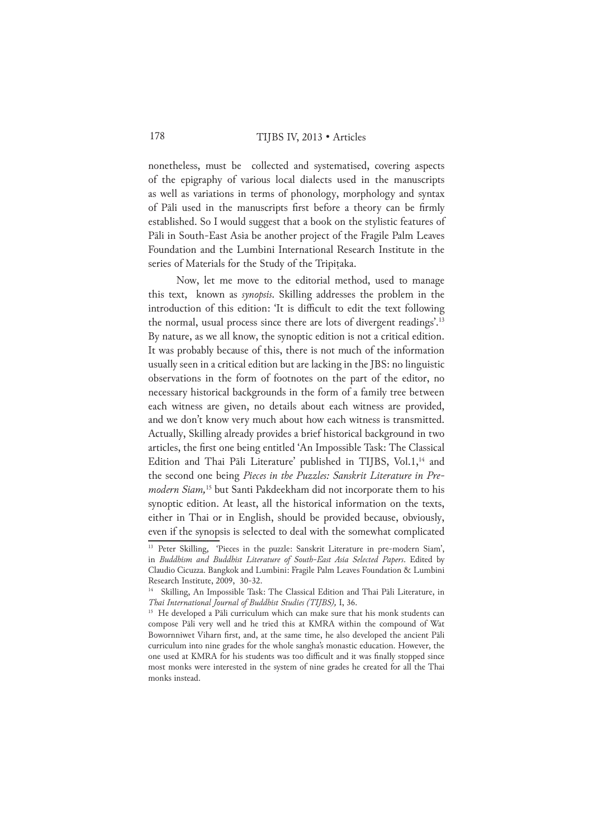nonetheless, must be collected and systematised, covering aspects of the epigraphy of various local dialects used in the manuscripts as well as variations in terms of phonology, morphology and syntax of Pāli used in the manuscripts first before a theory can be firmly established. So I would suggest that a book on the stylistic features of Pāli in South-East Asia be another project of the Fragile Palm Leaves Foundation and the Lumbini International Research Institute in the series of Materials for the Study of the Tripitaka.

Now, let me move to the editorial method, used to manage this text, known as *synopsis*. Skilling addresses the problem in the introduction of this edition: 'It is difficult to edit the text following the normal, usual process since there are lots of divergent readings'.13 By nature, as we all know, the synoptic edition is not a critical edition. It was probably because of this, there is not much of the information usually seen in a critical edition but are lacking in the JBS: no linguistic observations in the form of footnotes on the part of the editor, no necessary historical backgrounds in the form of a family tree between each witness are given, no details about each witness are provided, and we don't know very much about how each witness is transmitted. Actually, Skilling already provides a brief historical background in two articles, the first one being entitled 'An Impossible Task: The Classical Edition and Thai Pāli Literature' published in TIJBS, Vol.1,<sup>14</sup> and the second one being *Pieces in the Puzzles: Sanskrit Literature in Premodern Siam,*15 but Santi Pakdeekham did not incorporate them to his synoptic edition. At least, all the historical information on the texts, either in Thai or in English, should be provided because, obviously, even if the synopsis is selected to deal with the somewhat complicated

<sup>&</sup>lt;sup>13</sup> Peter Skilling, 'Pieces in the puzzle: Sanskrit Literature in pre-modern Siam', in *Buddhism and Buddhist Literature of South-East Asia Selected Papers*. Edited by Claudio Cicuzza. Bangkok and Lumbini: Fragile Palm Leaves Foundation & Lumbini Research Institute, 2009, 30-32.

<sup>&</sup>lt;sup>14</sup> Skilling, An Impossible Task: The Classical Edition and Thai Pāli Literature, in *Thai International Journal of Buddhist Studies (TIJBS),* I, 36.

<sup>&</sup>lt;sup>15</sup> He developed a Pāli curriculum which can make sure that his monk students can compose Pāli very well and he tried this at KMRA within the compound of Wat Bowornniwet Viharn first, and, at the same time, he also developed the ancient Pāli curriculum into nine grades for the whole sangha's monastic education. However, the one used at KMRA for his students was too difficult and it was finally stopped since most monks were interested in the system of nine grades he created for all the Thai monks instead.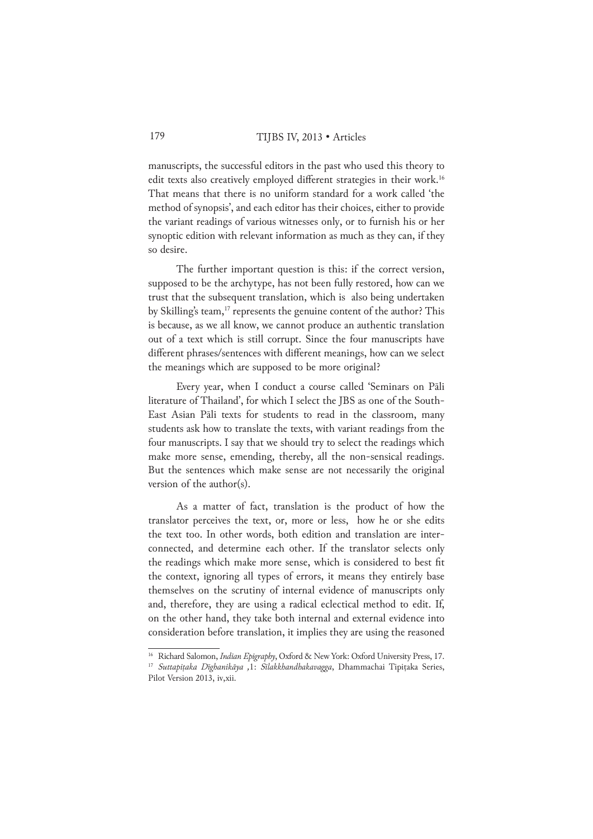manuscripts, the successful editors in the past who used this theory to edit texts also creatively employed different strategies in their work.<sup>16</sup> That means that there is no uniform standard for a work called 'the method of synopsis', and each editor has their choices, either to provide the variant readings of various witnesses only, or to furnish his or her synoptic edition with relevant information as much as they can, if they so desire.

The further important question is this: if the correct version, supposed to be the archytype, has not been fully restored, how can we trust that the subsequent translation, which is also being undertaken by Skilling's team,<sup>17</sup> represents the genuine content of the author? This is because, as we all know, we cannot produce an authentic translation out of a text which is still corrupt. Since the four manuscripts have different phrases/sentences with different meanings, how can we select the meanings which are supposed to be more original?

Every year, when I conduct a course called 'Seminars on Pāli literature of Thailand', for which I select the JBS as one of the South-East Asian Pāli texts for students to read in the classroom, many students ask how to translate the texts, with variant readings from the four manuscripts. I say that we should try to select the readings which make more sense, emending, thereby, all the non-sensical readings. But the sentences which make sense are not necessarily the original version of the author(s).

As a matter of fact, translation is the product of how the translator perceives the text, or, more or less, how he or she edits the text too. In other words, both edition and translation are interconnected, and determine each other. If the translator selects only the readings which make more sense, which is considered to best fit the context, ignoring all types of errors, it means they entirely base themselves on the scrutiny of internal evidence of manuscripts only and, therefore, they are using a radical eclectical method to edit. If, on the other hand, they take both internal and external evidence into consideration before translation, it implies they are using the reasoned

<sup>&</sup>lt;sup>16</sup> Richard Salomon, *Indian Epigraphy*, Oxford & New York: Oxford University Press, 17.

<sup>17</sup> *Suttapiṭaka Dīghanikāya ,*1: *Sīlakkhandhakavagga*, Dhammachai Tipiṭaka Series, Pilot Version 2013, iv, xii.